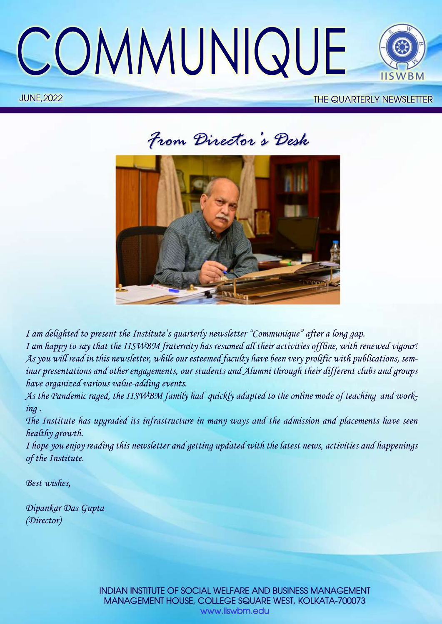

# **JUNE, 2022** THE QUARTERLY NEWSLETTER

*FromDirector ' sDesk*



*I am delighted to present the Institute's quarterly newsletter "Communique" after a long gap.* I am happy to say that the IISWBM fraternity has resumed all their activities offline, with renewed vigour! As you will read in this newsletter, while our esteemed faculty have been very prolific with publications, sem*inar presentations and other engagements, our students and Alumni through their different clubs and groups* have organized various value-adding events.

As the Pandemic raged, the IISWBM family had quickly adapted to the online mode of teaching and work*ing.*

The Institute has upgraded its infrastructure in many ways and the admission and placements have seen *healthygrowth.*

*I* hope you enjoy reading this newsletter and getting updated with the latest news, activities and happenings of the Institute.

*Bestwishes,*

*DipankarDasGupta (Director)*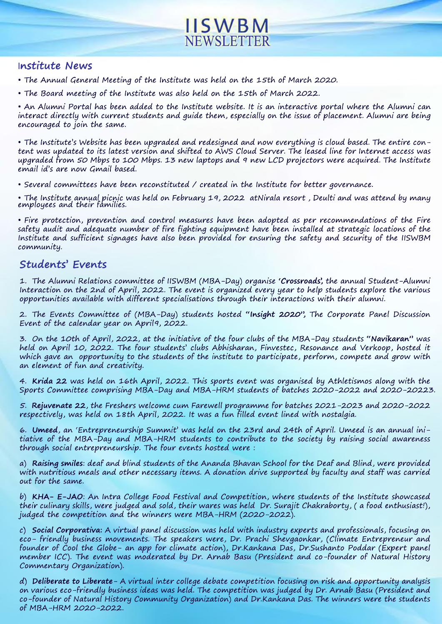

# **Institute News**

- The Annual General Meeting of the Institute was held on the 15th of March 2020.
- The Board meeting of the Institute was also held on the 15th of March 2022.

• An Alumni Portal has been added to the Institute website. It is an interactive portal where the Alumni can interact directly with current students and guide them, especially on the issue of placement. Alumni are being encouraged to join the same.

• The Institute's Website has been upgraded and redesigned and now everything is cloud based. The entire content was updated to its latest version and shifted to AWS Cloud Server. The leased line for Internet access was upgraded from 50 Mbps to 100 Mbps. 13 new laptops and 9 new LCD projectors were acquired. The Institute email id's are now Gmail based.

• Several committees have been reconstituted / created in the Institute for better governance.

• The Institute annual picnic was held on February 19, 2022 atNirala resort , Deulti and was attend by many employees and their families.

• Fire protection, prevention and control measures have been adopted as per recommendations of the Fire safety audit and adequate number of fire fighting equipment have been installed at strategic locations of the Institute and sufficient signages have also been provided for ensuring the safety and security of the IISWBM community.

# **Students'Events**

1. The Alumni Relations committee of IISWBM (MBA-Day) organise 'Crossroads', the annual Student-Alumni Interaction on the 2nd of April, 2022. The event is organized every year to help students explore the various opportunities available with different specialisations through their interactions with their alumni.

2. The Events Committee of (MBA-Day) students hosted "Insight 2020", The Corporate Panel Discussion Event of the calendar year on April9, 2022.

3.Onthe10thofApril,2022,attheinitiativeofthefourclubsoftheMBA-Daystudents**"Navikaran"**was held on April 10, 2022. The four students' clubs Abhisharan, Finvestec, Resonance and Verkoop, hosted it which gave an opportunity to the students of the institute to participate, perform, compete and grow with an element of fun and creativity.

4. Krida 22 was held on 16th April, 2022. This sports event was organised by Athletismos along with the Sports Committee comprising MBA-Day and MBA-HRM students of batches 2020-2022 and 2020-20223.

5. Rejuvenate 22, the Freshers welcome cum Farewell programme for batches 2021-2023 and 2020-2022 respectively, was held on 18th April, 2022. It was a fun filled event lined with nostalgia.

6. Umeed, an 'Entrepreneurship Summit' was held on the 23rd and 24th of April. Umeed is an annual initiative of the MBA-Day and MBA-HRM students to contribute to the society by raising social awareness through social entrepreneurship. The four events hosted were:

a) Raising smiles: deaf and blind students of the Ananda Bhavan School for the Deaf and Blind, were provided with nutritious meals and other necessary items. A donation drive supported by faculty and staff was carried out for the same.

b) KHA- E-JAO: An Intra College Food Festival and Competition, where students of the Institute showcased their culinary skills, were judged and sold, their wares was held Dr. Surajit Chakraborty, (a food enthusiast!), judged the competition and the winners were MBA-HRM (2020-2022).

c) **Social Corporativa:** A virtual panel discussion was held with industry experts and professionals, focusing on eco-friendly business movements. The speakers were, Dr. Prachi Shevgaonkar, (Climate Entrepreneur and founder of Cool the Globe- an app for climate action), Dr.Kankana Das, Dr.Sushanto Poddar (Expert panel member ICC). The event was moderated by Dr. Arnab Basu (President and co-founder of Natural History Commentary Organization).

d) **Deliberate to Liberate**-A virtual inter college debate competition focusing on risk and opportunity analysis on various eco-friendly business ideas was held. The competition was judged by Dr. Arnab Basu (President and co-founder of Natural History Community Organization) and Dr.Kankana Das. The winners were the students ofMBA-HRM 2020-2022.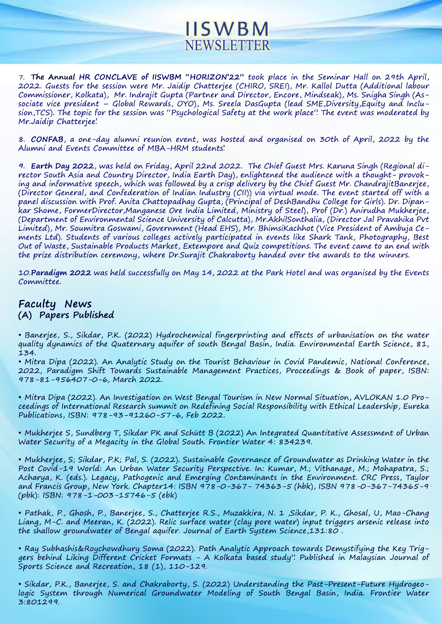7. The Annual HR CONCLAVE of IISWBM "HORIZON'22" took place in the Seminar Hall on 29th April, 2022. Guests for the session were Mr. Jaidip Chatterjee (CHIRO, SREI), Mr. Kallol Dutta (Additional labour Commissioner, Kolkata), Mr. Indrajit Gupta (Partner and Director, Encore, Mindseak), Ms. Snigha Singh (Associate vice president – Global Rewards, OYO), Ms. Sreela DasGupta (lead SME,Diversity,Equity and Inclusion, TCS). The topic for the session was "Psychological Safety at the work place". The event was moderated by Mr.Jaidip Chatterjee'.

NEWSLETTER

**IISWBM** 

8. CONFAB, a one-day alumni reunion event, was hosted and organised on 30th of April, 2022 by the AlumniandEventsCommitteeofMBA-HRM students'.

9. Earth Day 2022, was held on Friday, April 22nd 2022. The Chief Guest Mrs. Karuna Singh (Regional director South Asia and Country Director, India Earth Day), enlightened the audience with a thought-provoking and informative speech, which was followed by a crisp delivery by the Chief Guest Mr. ChandrajitBanerjee, (Director General, and Confederation of Indian Industry (CII)) via virtual mode. The event started off with a panel discussion with Prof. Anita Chattopadhay Gupta, (Principal of DeshBandhu College for Girls). Dr. Dipankar Shome, FormerDirector,Manganese Ore India Limited, Ministry of Steel), Prof (Dr.) Anirudha Mukherjee, (Department of Environmental Science University of Calcutta), Mr.AkhilSonthalia, (Director Jal Pravahika Pvt Limited), Mr. Soumitra Goswami, Government (Head EHS), Mr. BhimsiKachhot (Vice President of Ambuja Cements Ltd). Students of various colleges actively participated in events like Shark Tank, Photography, Best Out of Waste, Sustainable Products Market, Extempore and Quiz competitions. The event came to an end with the prize distribution ceremony, where Dr.Surajit Chakraborty handed over the awards to the winners.

10.**Paradigm 2022** was held successfully on May 14, 2022 at the Park Hotel and was organised by the Events Committee.

# **Faculty News** (A) Papers Published

• Banerjee, S., Sikdar, P.K. (2022) Hydrochemical fingerprinting and effects of urbanisation on the water quality dynamics of the Quaternary aquifer of south Bengal Basin, India. Environmental Earth Science, 81, 134.

• Mitra Dipa (2022). An Analytic Study on the Tourist Behaviour in Covid Pandemic, National Conference, 2022, Paradigm Shift Towards Sustainable Management Practices, Proceedings & Book of paper, ISBN: 978-81-956407-0-6, March 2022.

• Mitra Dipa (2022). An Investigation on West Bengal Tourism in New Normal Situation, AVLOKAN 1.0 Proceedings of International Research summit on Redefining Social Responsibility with Ethical Leadership, Eureka Publications, ISBN: 978-93-91260-57-6, Feb 2022.

• Mukherjee S, Sundberg T, Sikdar PK and Schütt B (2022) An Integrated Quantitative Assessment of Urban Water Security of a Megacity in the Global South. Frontier Water 4: 834239.

• Mukherjee, S; Sikdar, P.K; Pal, S. (2022). Sustainable Governance of Groundwater as Drinking Water in the Post Covid-19 World: An Urban Water Security Perspective. In: Kumar, M.; Vithanage, M.; Mohapatra, S.; Acharya, K. (eds.). Legacy, Pathogenic and Emerging Contaminants in the Environment. CRC Press, Taylor and Francis Group, New York. Chapter14: ISBN 978-0-367-74363-5 (hbk), ISBN 978-0-367-74365-9 (pbk): ISBN: 978-1-003-15746-5 (ebk)

•Pathak,P.,Ghosh,P.,Banerjee,S.,ChatterjeeR.S.,Muzakkira,N.1 ,Sikdar,P.K.,Ghosal,U,Mao-Chang Liang, M-C. and Meeran, K. (2022). Relic surface water (clay pore water) input triggers arsenic release into the shallow groundwater of Bengal aquifer. Journal of Earth System Science,131:80.

• Ray Subhashis&Roychowdhury Soma (2022). Path Analytic Approach towards Demystifying the Key Triggers behind Liking Different Cricket Formats - A Kolkata based study". Published in Malaysian Journal of Sports Science and Recreation, 18 (1), 110-129.

• Sikdar, P.K., Banerjee, S. and Chakraborty, S. (2022) Understanding the Past-Present-Future Hydrogeologic System through Numerical Groundwater Modeling of South Bengal Basin, India. Frontier Water 3:801299.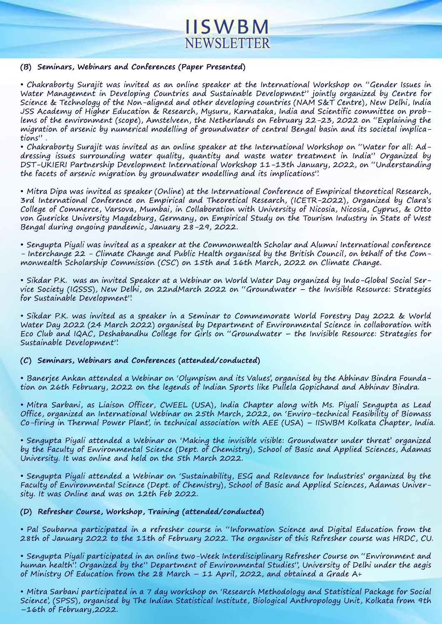# **IISWBM** NEWSLETTER

#### (B) Seminars, Webinars and Conferences (Paper Presented)

• Chakraborty Surajit was invited as an online speaker at the International Workshop on "Gender Issues in Water Management in Developing Countries and Sustainable Development" jointly organized by Centre for Science & Technology of the Non-aligned and other developing countries (NAM S&T Centre), New Delhi, India JSS Academy of Higher Education & Research, Mysuru, Karnataka, India and Scientific committee on problems of the environment (scope), Amstelveen, the Netherlands on February 22-23, 2022 on "Explaining the migration of arsenic by numerical modelling of groundwater of central Bengal basin and its societal implications".

• Chakraborty Surajit was invited as an online speaker at the International Workshop on "Water for all: Addressing issues surrounding water quality, quantity and waste water treatment in India" Organized by DST-UKIERI Partnership Development International Workshop 11-13th January, 2022, on "Understanding the facets of arsenic migration by groundwater modelling and its implications".

• Mitra Dipa was invited as speaker (Online) at the International Conference of Empirical theoretical Research, 3rd International Conference on Empirical and Theoretical Research, (ICETR-2022), Organized by Clara's College of Commerce, Varsova, Mumbai, in Collaboration with University of Nicosia, Nicosia, Cyprus, & Otto von Guericke University Magdeburg, Germany, on Empirical Study on the Tourism Industry in State of West Bengal during ongoing pandemic, January 28-29, 2022.

• Sengupta Piyali was invited as a speaker at the Commonwealth Scholar and Alumni International conference - Interchange 22 - Climate Change and Public Health organised by the British Council, on behalf of the Commonwealth Scholarship Commission (CSC) on 15th and 16th March, 2022 on Climate Change.

• Sikdar P.K. was an invited Speaker at a Webinar on World Water Day organized by Indo-Global Social Service Society (IGSSS), New Delhi, on 22ndMarch 2022 on "Groundwater – the Invisible Resource: Strategies for Sustainable Development".

• Sikdar P.K. was invited as a speaker in a Seminar to Commemorate World Forestry Day 2022 & World Water Day 2022 (24 March 2022) organised by Department of Environmental Science in collaboration with Eco Club and IQAC, Deshabandhu College for Girls on "Groundwater – the Invisible Resource: Strategies for Sustainable Development".

### (C) Seminars, Webinars and Conferences (attended/conducted)

• Banerjee Ankan attended a Webinar on 'Olympism and its Values', organised by the Abhinav Bindra Foundation on 26th February, 2022 on the legends of Indian Sports like Pullela Gopichand and Abhinav Bindra.

• Mitra Sarbani, as Liaison Officer, CWEEL (USA), India Chapter along with Ms. Piyali Sengupta as Lead Office, organized an International Webinar on 25th March, 2022, on 'Enviro-technical Feasibility of Biomass Co-firing in Thermal Power Plant', in technical association with AEE (USA) – IISWBM Kolkata Chapter, India.

• Sengupta Piyali attended a Webinar on 'Making the invisible visible: Groundwater under threat' organized by the Faculty of Environmental Science (Dept. of Chemistry), School of Basic and Applied Sciences, Adamas University. It was online and held on the 5th March 2022.

• Sengupta Piyali attended a Webinar on 'Sustainability, ESG and Relevance for Industries' organized by the Faculty of Environmental Science (Dept. of Chemistry), School of Basic and Applied Sciences, Adamas University. It was Online and was on 12th Feb 2022.

### **(D)RefresherCourse,Workshop,Training(attended/conducted)**

• Pal Soubarna participated in a refresher course in "Information Science and Digital Education from the 28th of January 2022 to the 11th of February 2022. The organiser of this Refresher course was HRDC, CU.

• Sengupta Piyali participated in an online two-Week Interdisciplinary Refresher Course on "Environment and human health". Organized by the" Department of Environmental Studies", University of Delhi under the aegis of Ministry Of Education from the 28 March – 11 April, 2022, and obtained a Grade A+

• Mitra Sarbani participated in a 7 day workshop on 'Research Methodology and Statistical Package for Social Science', (SPSS), organised by The Indian Statistical Institute, Biological Anthropology Unit, Kolkata from 9th  $-16th$  of February, 2022.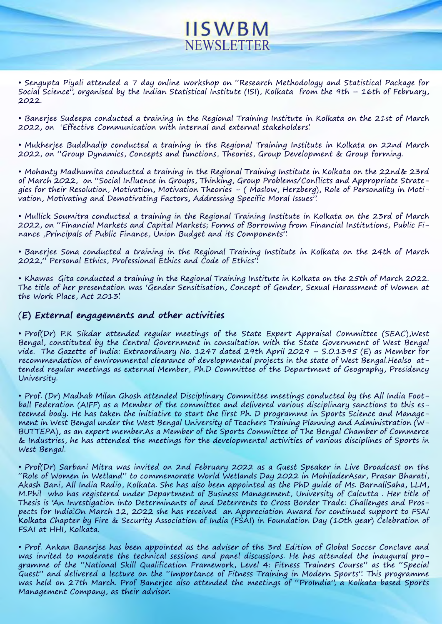• Sengupta Piyali attended a 7 day online workshop on "Research Methodology and Statistical Package for Social Science", organised by the Indian Statistical Institute (ISI), Kolkata from the 9th – 16th of February, 2022.

**NEWSLETTER** 

**IISWBM** 

• Banerjee Sudeepa conducted a training in the Regional Training Institute in Kolkata on the 21st of March 2022, on 'Effective Communication with internal and external stakeholders'.

• Mukherjee Buddhadip conducted a training in the Regional Training Institute in Kolkata on 22nd March 2022, on "Group Dynamics, Concepts and functions, Theories, Group Development & Group forming.

• Mohanty Madhumita conducted a training in the Regional Training Institute in Kolkata on the 22nd& 23rd of March 2022, on "Social Influence in Groups, Thinking, Group Problems/Conflicts and Appropriate Strategies for their Resolution, Motivation, Motivation Theories – ( Maslow, Herzberg), Role of Personality in Motivation, Motivating and Demotivating Factors, Addressing Specific Moral Issues".

• Mullick Soumitra conducted a training in the Regional Training Institute in Kolkata on the 23rd of March 2022, on "Financial Markets and Capital Markets; Forms of Borrowing from Financial Institutions, Public Finance, Principals of Public Finance, Union Budget and its Components".

• Banerjee Sona conducted a training in the Regional Training Institute in Kolkata on the 24th of March 2022," Personal Ethics, Professional Ethics and Code of Ethics".

• Khawas Gita conducted a training in the Regional Training Institute in Kolkata on the 25th of March 2022. The title of her presentation was 'Gender Sensitisation, Concept of Gender, Sexual Harassment of Women at the Work Place, Act 2013'.

### (**E)Externalengagementsandotheractivities**

• Prof(Dr) P.K Sikdar attended regular meetings of the State Expert Appraisal Committee (SEAC), West Bengal, constituted by the Central Government in consultation with the State Government of West Bengal vide. The Gazette of India: Extraordinary No. 1247 dated 29th April 2029 – S.O.1395 (E) as Member for recommendation of environmental clearance of developmental projects in the state of West Bengal.Healso attended regular meetings as external Member, Ph.D Committee of the Department of Geography, Presidency University.

• Prof. (Dr) Madhab Milan Ghosh attended Disciplinary Committee meetings conducted by the All India Football Federation (AIFF) as a Member of the committee and delivered various disciplinary sanctions to this esteemed body. He has taken the initiative to start the first Ph. D programme in Sports Science and Management in West Bengal under the West Bengal University of Teachers Training Planning and Administration (W-BUTTEPA), as an expert member.As a Member of the Sports Committee of The Bengal Chamber of Commerce & Industries, he has attended the meetings for the developmental activities of various disciplines of Sports in West Bengal.

• Prof(Dr) Sarbani Mitra was invited on 2nd February 2022 as a Guest Speaker in Live Broadcast on the "Role of Women in Wetland" to commemorate World Wetlands Day 2022 in MohiladerAsar, Prasar Bharati, Akash Bani, All India Radio, Kolkata. She has also been appointed as the PhD quide of Ms. BarnaliSaha, LLM, M.Phil who has registered under Department of Business Management, University of Calcutta. Her title of Thesis is 'An Investigation into Determinants of and Deterrents to Cross Border Trade: Challenges and Prospects for India'.On March 12, 2022 she has received an Appreciation Award for continued support to FSAI Kolkata Chapter by Fire & Security Association of India (FSAI) in Foundation Day (10th year) Celebration of FSAI at HHI, Kolkata.

• Prof. Ankan Banerjee has been appointed as the adviser of the 3rd Edition of Global Soccer Conclave and was invited to moderate the technical sessions and panel discussions. He has attended the inaugural programme of the "National Skill Qualification Framework, Level 4: Fitness Trainers Course" as the "Special Guest" and delivered a lecture on the "Importance of Fitness Training in Modern Sports". This programme was held on 27th March. Prof Banerjee also attended the meetings of "ProIndia", a Kolkata based Sports Management Company, as their advisor.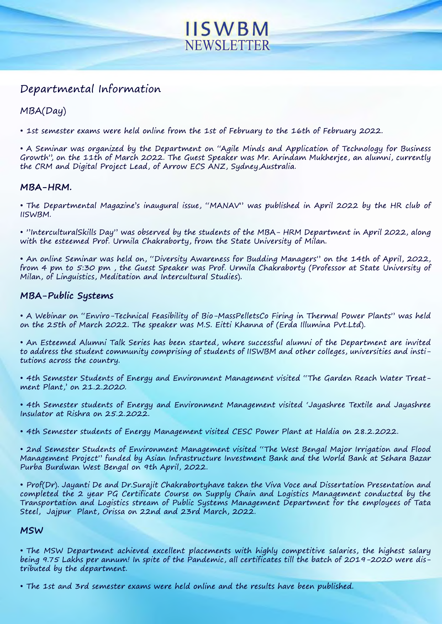# **IISWBM NEWSLETTER**

# Departmental Information

# MBA(Day)

• 1st semester exams were held online from the 1st of February to the 16th of February 2022.

• A Seminar was organized by the Department on "Agile Minds and Application of Technology for Business Growth", on the 11th of March 2022. The Guest Speaker was Mr. Arindam Mukherjee, an alumni, currently the CRM and Digital Project Lead, of Arrow ECS ANZ, Sydney, Australia.

# **MBA-HRM.**

• The Departmental Magazine's inaugural issue, "MANAV" was published in April 2022 by the HR club of IISWBM.

• "InterculturalSkills Day" was observed by the students of the MBA-HRM Department in April 2022, along with the esteemed Prof. Urmila Chakraborty, from the State University of Milan.

• An online Seminar was held on, "Diversity Awareness for Budding Managers" on the 14th of April, 2022, from 4 pm to 5:30 pm, the Guest Speaker was Prof. Urmila Chakraborty (Professor at State University of Milan, of Linguistics, Meditation and Intercultural Studies).

# **MBA-Public Systems**

• A Webinar on "Enviro-Technical Feasibility of Bio-MassPelletsCo Firing in Thermal Power Plants" was held on the 25th of March 2022. The speaker was M.S. Eitti Khanna of (Erda Illumina Pvt.Ltd).

• An Esteemed Alumni Talk Series has been started, where successful alumni of the Department are invited to address the student community comprising of students of IISWBM and other colleges, universities and institutions across the country.

• 4th Semester Students of Energy and Environment Management visited "The Garden Reach Water Treatment Plant,' on 21.2.2020.

• 4th Semester students of Energy and Environment Management visited 'Jayashree Textile and Jayashree Insulator at Rishra on 25.2.2022.

• 4th Semester students of Energy Management visited CESC Power Plant at Haldia on 28.2.2022.

• 2nd Semester Students of Environment Management visited "The West Bengal Major Irrigation and Flood Management Project" funded by Asian Infrastructure Investment Bank and the World Bank at Sehara Bazar Purba Burdwan West Bengal on 9th April, 2022.

• Prof(Dr). Jayanti De and Dr.Surajit Chakrabortyhave taken the Viva Voce and Dissertation Presentation and completed the 2 year PG Certificate Course on Supply Chain and Logistics Management conducted by the Transportation and Logistics stream of Public Systems Management Department for the employees of Tata Steel, Jajpur Plant, Orissa on 22nd and 23rd March, 2022.

# **MSW**

• The MSW Department achieved excellent placements with highly competitive salaries, the highest salary being 9.75 Lakhs per annum! In spite of the Pandemic, all certificates till the batch of 2019-2020 were distributed by the department.

• The 1st and 3rd semester exams were held online and the results have been published.